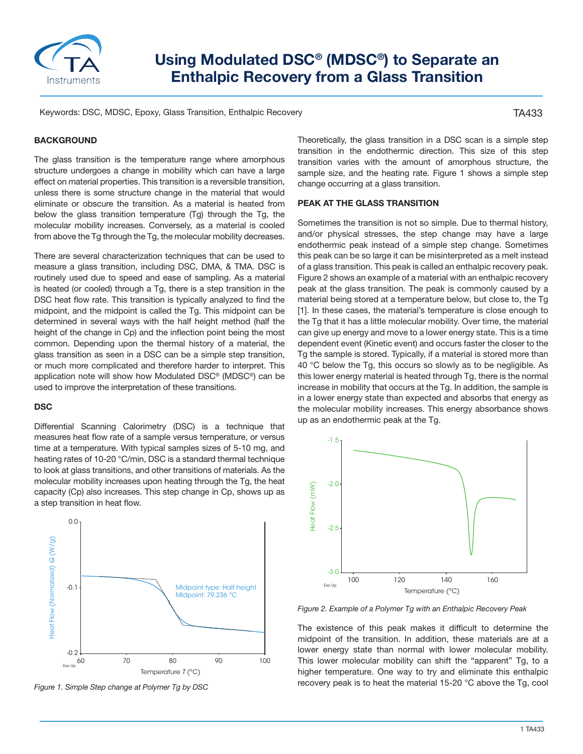

# **Using Modulated DSC® (MDSC®) to Separate an Enthalpic Recovery from a Glass Transition**

Keywords: DSC, MDSC, Epoxy, Glass Transition, Enthalpic Recovery

TA433

## **BACKGROUND**

The glass transition is the temperature range where amorphous structure undergoes a change in mobility which can have a large effect on material properties. This transition is a reversible transition, unless there is some structure change in the material that would eliminate or obscure the transition. As a material is heated from below the glass transition temperature (Tg) through the Tg, the molecular mobility increases. Conversely, as a material is cooled from above the Tg through the Tg, the molecular mobility decreases.

There are several characterization techniques that can be used to measure a glass transition, including DSC, DMA, & TMA. DSC is routinely used due to speed and ease of sampling. As a material is heated (or cooled) through a Tg, there is a step transition in the DSC heat flow rate. This transition is typically analyzed to find the midpoint, and the midpoint is called the Tg. This midpoint can be determined in several ways with the half height method (half the height of the change in Cp) and the inflection point being the most common. Depending upon the thermal history of a material, the glass transition as seen in a DSC can be a simple step transition, or much more complicated and therefore harder to interpret. This application note will show how Modulated DSC® (MDSC®) can be used to improve the interpretation of these transitions.

#### **DSC**

Differential Scanning Calorimetry (DSC) is a technique that measures heat flow rate of a sample versus temperature, or versus time at a temperature. With typical samples sizes of 5-10 mg, and heating rates of 10-20 °C/min, DSC is a standard thermal technique to look at glass transitions, and other transitions of materials. As the molecular mobility increases upon heating through the Tg, the heat capacity (Cp) also increases. This step change in Cp, shows up as a step transition in heat flow.



*Figure 1. Simple Step change at Polymer Tg by DSC*

Theoretically, the glass transition in a DSC scan is a simple step transition in the endothermic direction. This size of this step transition varies with the amount of amorphous structure, the sample size, and the heating rate. Figure 1 shows a simple step change occurring at a glass transition.

#### **PEAK AT THE GLASS TRANSITION**

Sometimes the transition is not so simple. Due to thermal history, and/or physical stresses, the step change may have a large endothermic peak instead of a simple step change. Sometimes this peak can be so large it can be misinterpreted as a melt instead of a glass transition. This peak is called an enthalpic recovery peak. Figure 2 shows an example of a material with an enthalpic recovery peak at the glass transition. The peak is commonly caused by a material being stored at a temperature below, but close to, the Tg [1]. In these cases, the material's temperature is close enough to the Tg that it has a little molecular mobility. Over time, the material can give up energy and move to a lower energy state. This is a time dependent event (Kinetic event) and occurs faster the closer to the Tg the sample is stored. Typically, if a material is stored more than 40 °C below the Tg, this occurs so slowly as to be negligible. As this lower energy material is heated through Tg, there is the normal increase in mobility that occurs at the Tg. In addition, the sample is in a lower energy state than expected and absorbs that energy as the molecular mobility increases. This energy absorbance shows up as an endothermic peak at the Tg.



*Figure 2. Example of a Polymer Tg with an Enthalpic Recovery Peak*

The existence of this peak makes it difficult to determine the midpoint of the transition. In addition, these materials are at a lower energy state than normal with lower molecular mobility. This lower molecular mobility can shift the "apparent" Tg, to a higher temperature. One way to try and eliminate this enthalpic recovery peak is to heat the material 15-20 °C above the Tg, cool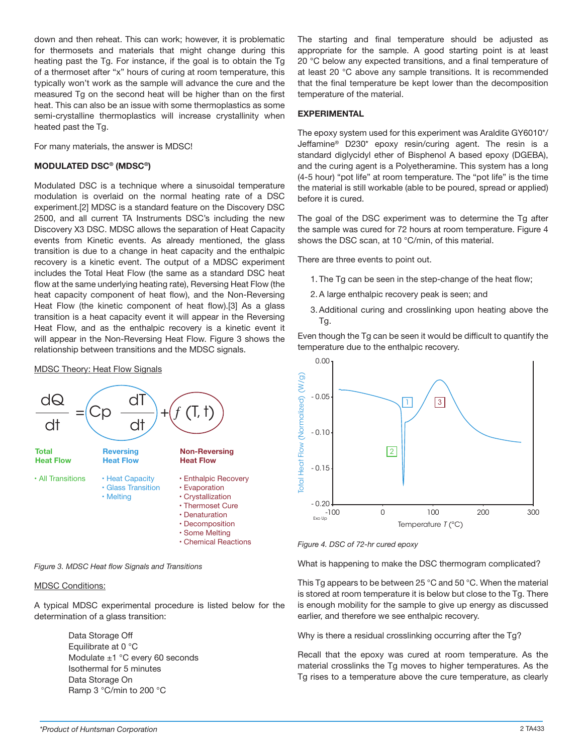down and then reheat. This can work; however, it is problematic for thermosets and materials that might change during this heating past the Tg. For instance, if the goal is to obtain the Tg of a thermoset after "x" hours of curing at room temperature, this typically won't work as the sample will advance the cure and the measured Tg on the second heat will be higher than on the first heat. This can also be an issue with some thermoplastics as some semi-crystalline thermoplastics will increase crystallinity when heated past the Tg.

For many materials, the answer is MDSC!

## **MODULATED DSC® (MDSC®)**

Modulated DSC is a technique where a sinusoidal temperature modulation is overlaid on the normal heating rate of a DSC experiment.[2] MDSC is a standard feature on the Discovery DSC 2500, and all current TA Instruments DSC's including the new Discovery X3 DSC. MDSC allows the separation of Heat Capacity events from Kinetic events. As already mentioned, the glass transition is due to a change in heat capacity and the enthalpic recovery is a kinetic event. The output of a MDSC experiment includes the Total Heat Flow (the same as a standard DSC heat flow at the same underlying heating rate), Reversing Heat Flow (the heat capacity component of heat flow), and the Non-Reversing Heat Flow (the kinetic component of heat flow).[3] As a glass transition is a heat capacity event it will appear in the Reversing Heat Flow, and as the enthalpic recovery is a kinetic event it will appear in the Non-Reversing Heat Flow. Figure 3 shows the relationship between transitions and the MDSC signals.

#### MDSC Theory: Heat Flow Signals



*Figure 3. MDSC Heat flow Signals and Transitions*

### MDSC Conditions:

A typical MDSC experimental procedure is listed below for the determination of a glass transition:

> Data Storage Off Equilibrate at 0 °C Modulate ±1 °C every 60 seconds Isothermal for 5 minutes Data Storage On Ramp 3 °C/min to 200 °C

The starting and final temperature should be adjusted as appropriate for the sample. A good starting point is at least 20 °C below any expected transitions, and a final temperature of at least 20 °C above any sample transitions. It is recommended that the final temperature be kept lower than the decomposition temperature of the material.

## **EXPERIMENTAL**

The epoxy system used for this experiment was Araldite GY6010\*/ Jeffamine® D230\* epoxy resin/curing agent. The resin is a standard diglycidyl ether of Bisphenol A based epoxy (DGEBA), and the curing agent is a Polyetheramine. This system has a long (4-5 hour) "pot life" at room temperature. The "pot life" is the time the material is still workable (able to be poured, spread or applied) before it is cured.

The goal of the DSC experiment was to determine the Tg after the sample was cured for 72 hours at room temperature. Figure 4 shows the DSC scan, at 10 °C/min, of this material.

There are three events to point out.

- 1. The Tg can be seen in the step-change of the heat flow;
- 2. A large enthalpic recovery peak is seen; and
- 3. Additional curing and crosslinking upon heating above the Tg.

Even though the Tg can be seen it would be difficult to quantify the temperature due to the enthalpic recovery.



*Figure 4. DSC of 72-hr cured epoxy*

What is happening to make the DSC thermogram complicated?

This Tg appears to be between 25 °C and 50 °C. When the material is stored at room temperature it is below but close to the Tg. There is enough mobility for the sample to give up energy as discussed earlier, and therefore we see enthalpic recovery.

Why is there a residual crosslinking occurring after the Tg?

Recall that the epoxy was cured at room temperature. As the material crosslinks the Tg moves to higher temperatures. As the Tg rises to a temperature above the cure temperature, as clearly